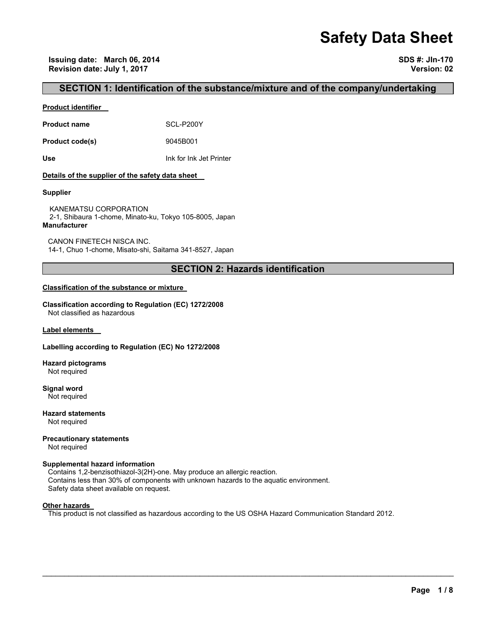# **Safety Data Sheet**

## **SECTION 1: Identification of the substance/mixture and of the company/undertaking**

#### **Product identifier**

**Product name** SCL-P200Y

**Product code(s)** 9045B001

**Use** Ink for Ink Jet Printer

#### **Details of the supplier of the safety data sheet**

#### **Supplier**

KANEMATSU CORPORATION 2-1, Shibaura 1-chome, Minato-ku, Tokyo 105-8005, Japan **Manufacturer**

CANON FINETECH NISCA INC. 14-1, Chuo 1-chome, Misato-shi, Saitama 341-8527, Japan

## **SECTION 2: Hazards identification**

#### **Classification of the substance or mixture**

**Classification according to Regulation (EC) 1272/2008** Not classified as hazardous

**Label elements** 

#### **Labelling according to Regulation (EC) No 1272/2008**

**Hazard pictograms** Not required

**Signal word** Not required

**Hazard statements** Not required

**Precautionary statements** 

Not required

#### **Supplemental hazard information**

Contains 1,2-benzisothiazol-3(2H)-one. May produce an allergic reaction. Contains less than 30% of components with unknown hazards to the aquatic environment. Safety data sheet available on request.

#### **Other hazards**

This product is not classified as hazardous according to the US OSHA Hazard Communication Standard 2012.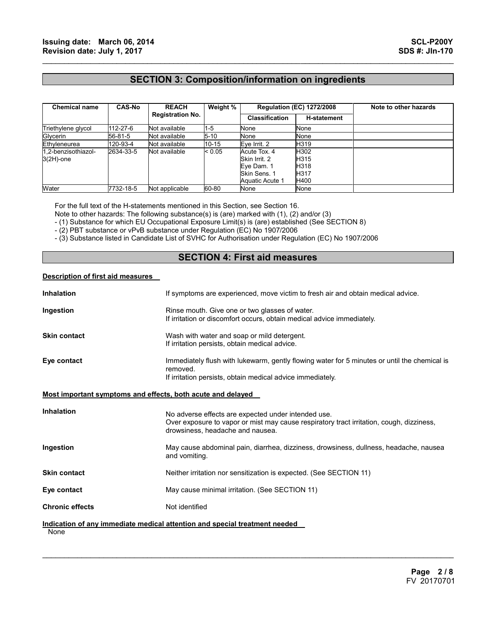## **SECTION 3: Composition/information on ingredients**

 $\mathcal{L}_\mathcal{L} = \{ \mathcal{L}_\mathcal{L} = \{ \mathcal{L}_\mathcal{L} = \{ \mathcal{L}_\mathcal{L} = \{ \mathcal{L}_\mathcal{L} = \{ \mathcal{L}_\mathcal{L} = \{ \mathcal{L}_\mathcal{L} = \{ \mathcal{L}_\mathcal{L} = \{ \mathcal{L}_\mathcal{L} = \{ \mathcal{L}_\mathcal{L} = \{ \mathcal{L}_\mathcal{L} = \{ \mathcal{L}_\mathcal{L} = \{ \mathcal{L}_\mathcal{L} = \{ \mathcal{L}_\mathcal{L} = \{ \mathcal{L}_\mathcal{$ 

| <b>Chemical name</b> | <b>CAS-No</b> | <b>REACH</b><br><b>Registration No.</b> | Weight % | <b>Regulation (EC) 1272/2008</b> |                    | Note to other hazards |
|----------------------|---------------|-----------------------------------------|----------|----------------------------------|--------------------|-----------------------|
|                      |               |                                         |          | <b>Classification</b>            | <b>H-statement</b> |                       |
| Triethylene glycol   | 112-27-6      | Not available                           | $1-5$    | None                             | None               |                       |
| Glycerin             | 56-81-5       | Not available                           | $5 - 10$ | None                             | None               |                       |
| Ethyleneurea         | 120-93-4      | Not available                           | 10-15    | Eve Irrit. 2                     | H319               |                       |
| 1.2-benzisothiazol-  | 2634-33-5     | Not available                           | < 0.05   | Acute Tox. 4                     | H302               |                       |
| $3(2H)$ -one         |               |                                         |          | Skin Irrit, 2                    | H315               |                       |
|                      |               |                                         |          | Eve Dam. 1                       | H318               |                       |
|                      |               |                                         |          | Skin Sens, 1                     | H <sub>317</sub>   |                       |
|                      |               |                                         |          | Aquatic Acute 1                  | H400               |                       |
| Water                | 7732-18-5     | Not applicable                          | 60-80    | None                             | None               |                       |

For the full text of the H-statements mentioned in this Section, see Section 16.

Note to other hazards: The following substance(s) is (are) marked with (1), (2) and/or (3)

- (1) Substance for which EU Occupational Exposure Limit(s) is (are) established (See SECTION 8)

- (2) PBT substance or vPvB substance under Regulation (EC) No 1907/2006

- (3) Substance listed in Candidate List of SVHC for Authorisation under Regulation (EC) No 1907/2006

## **SECTION 4: First aid measures**

#### **Description of first aid measures**

| <b>Inhalation</b>                                                  | If symptoms are experienced, move victim to fresh air and obtain medical advice.                                                                                                    |
|--------------------------------------------------------------------|-------------------------------------------------------------------------------------------------------------------------------------------------------------------------------------|
| Ingestion                                                          | Rinse mouth. Give one or two glasses of water.<br>If irritation or discomfort occurs, obtain medical advice immediately.                                                            |
| <b>Skin contact</b>                                                | Wash with water and soap or mild detergent.<br>If irritation persists, obtain medical advice.                                                                                       |
| Eye contact                                                        | Immediately flush with lukewarm, gently flowing water for 5 minutes or until the chemical is<br>removed.<br>If irritation persists, obtain medical advice immediately.              |
| <u>Most important symptoms and effects, both acute and delayed</u> |                                                                                                                                                                                     |
| <b>Inhalation</b>                                                  | No adverse effects are expected under intended use.<br>Over exposure to vapor or mist may cause respiratory tract irritation, cough, dizziness,<br>drowsiness, headache and nausea. |
| Ingestion                                                          | May cause abdominal pain, diarrhea, dizziness, drowsiness, dullness, headache, nausea<br>and vomiting.                                                                              |
| <b>Skin contact</b>                                                | Neither irritation nor sensitization is expected. (See SECTION 11)                                                                                                                  |
| Eye contact                                                        | May cause minimal irritation. (See SECTION 11)                                                                                                                                      |
| <b>Chronic effects</b>                                             | Not identified                                                                                                                                                                      |
| None                                                               | Indication of any immediate medical attention and special treatment needed                                                                                                          |

 $\mathcal{L}_\mathcal{L} = \mathcal{L}_\mathcal{L} = \mathcal{L}_\mathcal{L} = \mathcal{L}_\mathcal{L} = \mathcal{L}_\mathcal{L} = \mathcal{L}_\mathcal{L} = \mathcal{L}_\mathcal{L} = \mathcal{L}_\mathcal{L} = \mathcal{L}_\mathcal{L} = \mathcal{L}_\mathcal{L} = \mathcal{L}_\mathcal{L} = \mathcal{L}_\mathcal{L} = \mathcal{L}_\mathcal{L} = \mathcal{L}_\mathcal{L} = \mathcal{L}_\mathcal{L} = \mathcal{L}_\mathcal{L} = \mathcal{L}_\mathcal{L}$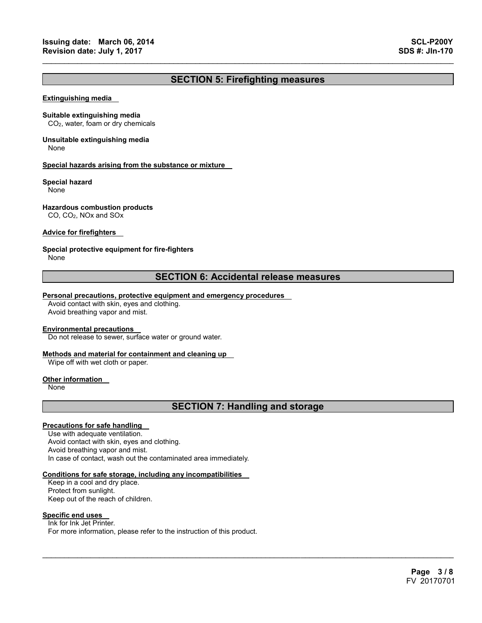## **SECTION 5: Firefighting measures**

 $\mathcal{L}_\mathcal{L} = \{ \mathcal{L}_\mathcal{L} = \{ \mathcal{L}_\mathcal{L} = \{ \mathcal{L}_\mathcal{L} = \{ \mathcal{L}_\mathcal{L} = \{ \mathcal{L}_\mathcal{L} = \{ \mathcal{L}_\mathcal{L} = \{ \mathcal{L}_\mathcal{L} = \{ \mathcal{L}_\mathcal{L} = \{ \mathcal{L}_\mathcal{L} = \{ \mathcal{L}_\mathcal{L} = \{ \mathcal{L}_\mathcal{L} = \{ \mathcal{L}_\mathcal{L} = \{ \mathcal{L}_\mathcal{L} = \{ \mathcal{L}_\mathcal{$ 

#### **Extinguishing media**

#### **Suitable extinguishing media**

CO2, water, foam or dry chemicals

## **Unsuitable extinguishing media**

None

#### **Special hazards arising from the substance or mixture**

#### **Special hazard**

None

#### **Hazardous combustion products**

CO, CO2, NOx and SOx

#### **Advice for firefighters**

#### **Special protective equipment for fire-fighters**

None

### **SECTION 6: Accidental release measures**

#### **Personal precautions, protective equipment and emergency procedures**

Avoid contact with skin, eyes and clothing. Avoid breathing vapor and mist.

#### **Environmental precautions**

Do not release to sewer, surface water or ground water.

#### **Methods and material for containment and cleaning up**

Wipe off with wet cloth or paper.

#### **Other information**

None

## **SECTION 7: Handling and storage**

 $\mathcal{L}_\mathcal{L} = \mathcal{L}_\mathcal{L} = \mathcal{L}_\mathcal{L} = \mathcal{L}_\mathcal{L} = \mathcal{L}_\mathcal{L} = \mathcal{L}_\mathcal{L} = \mathcal{L}_\mathcal{L} = \mathcal{L}_\mathcal{L} = \mathcal{L}_\mathcal{L} = \mathcal{L}_\mathcal{L} = \mathcal{L}_\mathcal{L} = \mathcal{L}_\mathcal{L} = \mathcal{L}_\mathcal{L} = \mathcal{L}_\mathcal{L} = \mathcal{L}_\mathcal{L} = \mathcal{L}_\mathcal{L} = \mathcal{L}_\mathcal{L}$ 

#### **Precautions for safe handling**

Use with adequate ventilation. Avoid contact with skin, eyes and clothing. Avoid breathing vapor and mist. In case of contact, wash out the contaminated area immediately.

#### **Conditions for safe storage, including any incompatibilities**

Keep in a cool and dry place. Protect from sunlight. Keep out of the reach of children.

#### **Specific end uses**

Ink for Ink Jet Printer. For more information, please refer to the instruction of this product.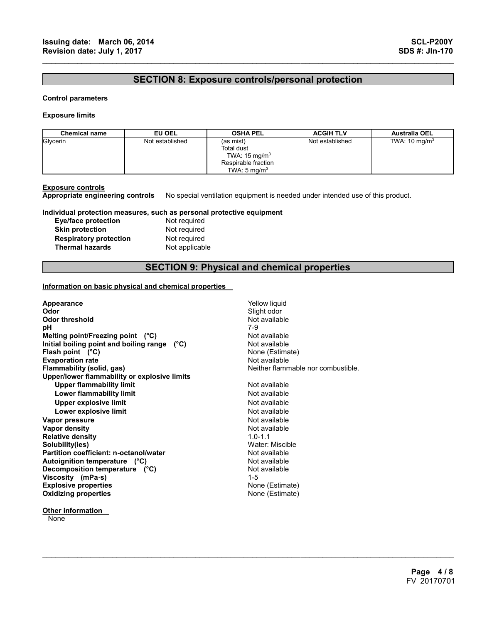## **SECTION 8: Exposure controls/personal protection**

 $\mathcal{L}_\mathcal{L} = \{ \mathcal{L}_\mathcal{L} = \{ \mathcal{L}_\mathcal{L} = \{ \mathcal{L}_\mathcal{L} = \{ \mathcal{L}_\mathcal{L} = \{ \mathcal{L}_\mathcal{L} = \{ \mathcal{L}_\mathcal{L} = \{ \mathcal{L}_\mathcal{L} = \{ \mathcal{L}_\mathcal{L} = \{ \mathcal{L}_\mathcal{L} = \{ \mathcal{L}_\mathcal{L} = \{ \mathcal{L}_\mathcal{L} = \{ \mathcal{L}_\mathcal{L} = \{ \mathcal{L}_\mathcal{L} = \{ \mathcal{L}_\mathcal{$ 

#### **Control parameters**

#### **Exposure limits**

| <b>Chemical name</b> | EU OEL          | <b>OSHA PEL</b>                                                                                       | <b>ACGIH TLV</b> | <b>Australia OEL</b>     |
|----------------------|-----------------|-------------------------------------------------------------------------------------------------------|------------------|--------------------------|
| Glycerin             | Not established | (as mist)<br>Total dust<br>TWA: $15 \text{ mg/m}^3$<br>Respirable fraction<br>TWA: $5 \text{ ma/m}^3$ | Not established  | TWA: $10 \text{ mg/m}^3$ |

**Exposure controls Appropriate engineering controls** No special ventilation equipment is needed under intended use of this product.

#### **Individual protection measures, such as personal protective equipment**

| Eye/face protection           |  |
|-------------------------------|--|
| <b>Skin protection</b>        |  |
| <b>Respiratory protection</b> |  |
| <b>Thermal hazards</b>        |  |

Not required **Not required Not required Not applicable** 

## **SECTION 9: Physical and chemical properties**

 $\mathcal{L}_\mathcal{L} = \mathcal{L}_\mathcal{L} = \mathcal{L}_\mathcal{L} = \mathcal{L}_\mathcal{L} = \mathcal{L}_\mathcal{L} = \mathcal{L}_\mathcal{L} = \mathcal{L}_\mathcal{L} = \mathcal{L}_\mathcal{L} = \mathcal{L}_\mathcal{L} = \mathcal{L}_\mathcal{L} = \mathcal{L}_\mathcal{L} = \mathcal{L}_\mathcal{L} = \mathcal{L}_\mathcal{L} = \mathcal{L}_\mathcal{L} = \mathcal{L}_\mathcal{L} = \mathcal{L}_\mathcal{L} = \mathcal{L}_\mathcal{L}$ 

#### **Information on basic physical and chemical properties**

| Appearance<br>Odor                           | Yellow liquid<br>Slight odor       |
|----------------------------------------------|------------------------------------|
| <b>Odor threshold</b>                        | Not available                      |
| рH                                           | 7-9                                |
| Melting point/Freezing point (°C)            | Not available                      |
| Initial boiling point and boiling range (°C) | Not available                      |
| Flash point $(^{\circ}C)$                    | None (Estimate)                    |
| <b>Evaporation rate</b>                      | Not available                      |
| Flammability (solid, gas)                    | Neither flammable nor combustible. |
| Upper/lower flammability or explosive limits |                                    |
| <b>Upper flammability limit</b>              | Not available                      |
| Lower flammability limit                     | Not available                      |
| <b>Upper explosive limit</b>                 | Not available                      |
| Lower explosive limit                        | Not available                      |
| Vapor pressure                               | Not available                      |
| Vapor density                                | Not available                      |
| <b>Relative density</b>                      | $1.0 - 1.1$                        |
| Solubility(ies)                              | Water: Miscible                    |
| Partition coefficient: n-octanol/water       | Not available                      |
| Autoignition temperature (°C)                | Not available                      |
| Decomposition temperature (°C)               | Not available                      |
| Viscosity (mPa $\cdot$ s)                    | $1 - 5$                            |
| <b>Explosive properties</b>                  | None (Estimate)                    |
| <b>Oxidizing properties</b>                  | None (Estimate)                    |
|                                              |                                    |

**None**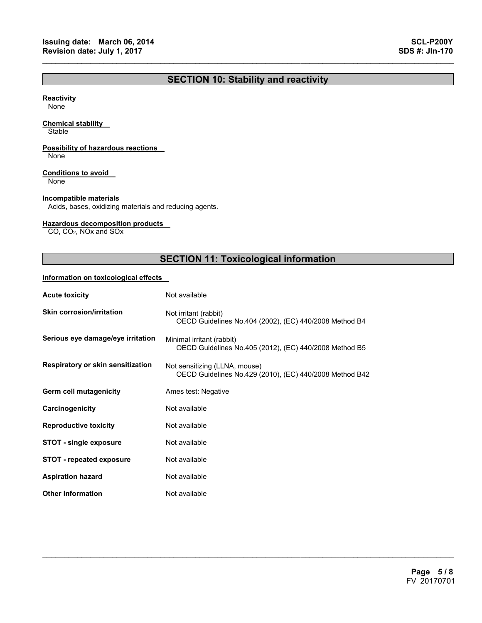## **SECTION 10: Stability and reactivity**

 $\mathcal{L}_\mathcal{L} = \{ \mathcal{L}_\mathcal{L} = \{ \mathcal{L}_\mathcal{L} = \{ \mathcal{L}_\mathcal{L} = \{ \mathcal{L}_\mathcal{L} = \{ \mathcal{L}_\mathcal{L} = \{ \mathcal{L}_\mathcal{L} = \{ \mathcal{L}_\mathcal{L} = \{ \mathcal{L}_\mathcal{L} = \{ \mathcal{L}_\mathcal{L} = \{ \mathcal{L}_\mathcal{L} = \{ \mathcal{L}_\mathcal{L} = \{ \mathcal{L}_\mathcal{L} = \{ \mathcal{L}_\mathcal{L} = \{ \mathcal{L}_\mathcal{$ 

#### **Reactivity**

None

#### **Chemical stability**

**Stable** 

#### **Possibility of hazardous reactions**

None

#### **Conditions to avoid**

None

#### **Incompatible materials**

Acids, bases, oxidizing materials and reducing agents.

#### **Hazardous decomposition products**

CO, CO2, NOx and SOx

## **SECTION 11: Toxicological information**

 $\mathcal{L}_\mathcal{L} = \mathcal{L}_\mathcal{L} = \mathcal{L}_\mathcal{L} = \mathcal{L}_\mathcal{L} = \mathcal{L}_\mathcal{L} = \mathcal{L}_\mathcal{L} = \mathcal{L}_\mathcal{L} = \mathcal{L}_\mathcal{L} = \mathcal{L}_\mathcal{L} = \mathcal{L}_\mathcal{L} = \mathcal{L}_\mathcal{L} = \mathcal{L}_\mathcal{L} = \mathcal{L}_\mathcal{L} = \mathcal{L}_\mathcal{L} = \mathcal{L}_\mathcal{L} = \mathcal{L}_\mathcal{L} = \mathcal{L}_\mathcal{L}$ 

#### **Information on toxicological effects**

| <b>Acute toxicity</b>             | Not available                                                                            |  |  |
|-----------------------------------|------------------------------------------------------------------------------------------|--|--|
| <b>Skin corrosion/irritation</b>  | Not irritant (rabbit)<br>OECD Guidelines No.404 (2002), (EC) 440/2008 Method B4          |  |  |
| Serious eye damage/eye irritation | Minimal irritant (rabbit)<br>OECD Guidelines No.405 (2012), (EC) 440/2008 Method B5      |  |  |
| Respiratory or skin sensitization | Not sensitizing (LLNA, mouse)<br>OECD Guidelines No.429 (2010), (EC) 440/2008 Method B42 |  |  |
| Germ cell mutagenicity            | Ames test: Negative                                                                      |  |  |
| Carcinogenicity                   | Not available                                                                            |  |  |
| <b>Reproductive toxicity</b>      | Not available                                                                            |  |  |
| <b>STOT - single exposure</b>     | Not available                                                                            |  |  |
| <b>STOT - repeated exposure</b>   | Not available                                                                            |  |  |
| <b>Aspiration hazard</b>          | Not available                                                                            |  |  |
| <b>Other information</b>          | Not available                                                                            |  |  |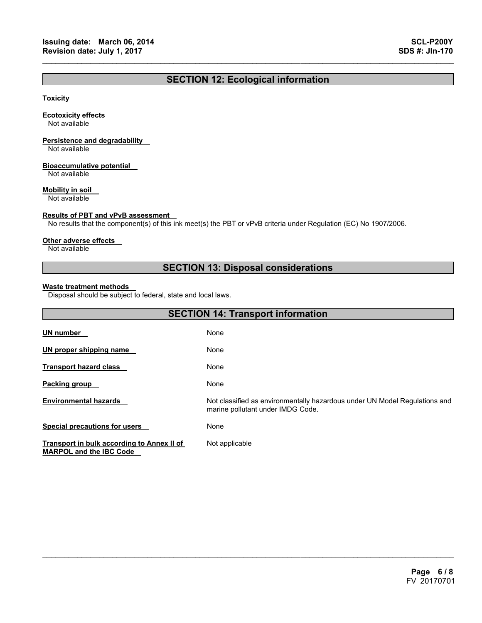## **SECTION 12: Ecological information**

 $\mathcal{L}_\mathcal{L} = \{ \mathcal{L}_\mathcal{L} = \{ \mathcal{L}_\mathcal{L} = \{ \mathcal{L}_\mathcal{L} = \{ \mathcal{L}_\mathcal{L} = \{ \mathcal{L}_\mathcal{L} = \{ \mathcal{L}_\mathcal{L} = \{ \mathcal{L}_\mathcal{L} = \{ \mathcal{L}_\mathcal{L} = \{ \mathcal{L}_\mathcal{L} = \{ \mathcal{L}_\mathcal{L} = \{ \mathcal{L}_\mathcal{L} = \{ \mathcal{L}_\mathcal{L} = \{ \mathcal{L}_\mathcal{L} = \{ \mathcal{L}_\mathcal{$ 

#### **Toxicity**

#### **Ecotoxicity effects**

Not available

## **Persistence and degradability**

Not available

#### **Bioaccumulative potential**

Not available

#### **Mobility in soil**

Not available

#### **Results of PBT and vPvB assessment**

No results that the component(s) of this ink meet(s) the PBT or vPvB criteria under Regulation (EC) No 1907/2006.

#### **Other adverse effects**

Not available

## **SECTION 13: Disposal considerations**

#### **Waste treatment methods**

Disposal should be subject to federal, state and local laws.

| <b>SECTION 14: Transport information</b>                                     |                                                                                                                 |  |
|------------------------------------------------------------------------------|-----------------------------------------------------------------------------------------------------------------|--|
| <b>UN number</b>                                                             | None                                                                                                            |  |
| UN proper shipping name                                                      | None                                                                                                            |  |
| <b>Transport hazard class</b>                                                | None                                                                                                            |  |
| <b>Packing group</b>                                                         | None                                                                                                            |  |
| <b>Environmental hazards</b>                                                 | Not classified as environmentally hazardous under UN Model Regulations and<br>marine pollutant under IMDG Code. |  |
| <b>Special precautions for users</b>                                         | None                                                                                                            |  |
| Transport in bulk according to Annex II of<br><b>MARPOL and the IBC Code</b> | Not applicable                                                                                                  |  |

 $\mathcal{L}_\mathcal{L} = \mathcal{L}_\mathcal{L} = \mathcal{L}_\mathcal{L} = \mathcal{L}_\mathcal{L} = \mathcal{L}_\mathcal{L} = \mathcal{L}_\mathcal{L} = \mathcal{L}_\mathcal{L} = \mathcal{L}_\mathcal{L} = \mathcal{L}_\mathcal{L} = \mathcal{L}_\mathcal{L} = \mathcal{L}_\mathcal{L} = \mathcal{L}_\mathcal{L} = \mathcal{L}_\mathcal{L} = \mathcal{L}_\mathcal{L} = \mathcal{L}_\mathcal{L} = \mathcal{L}_\mathcal{L} = \mathcal{L}_\mathcal{L}$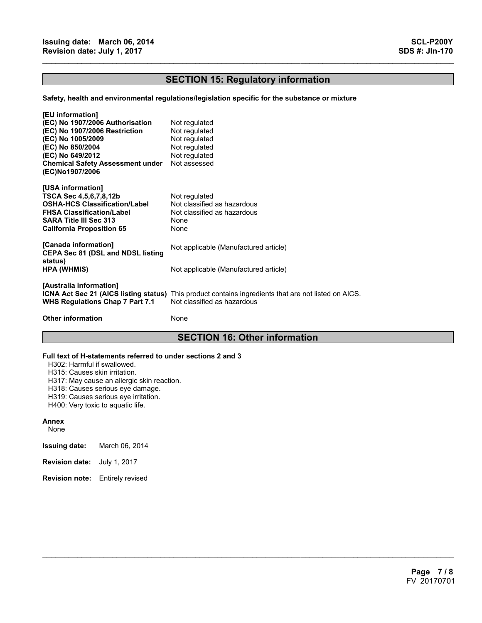## **SECTION 15: Regulatory information**

 $\mathcal{L}_\mathcal{L} = \{ \mathcal{L}_\mathcal{L} = \{ \mathcal{L}_\mathcal{L} = \{ \mathcal{L}_\mathcal{L} = \{ \mathcal{L}_\mathcal{L} = \{ \mathcal{L}_\mathcal{L} = \{ \mathcal{L}_\mathcal{L} = \{ \mathcal{L}_\mathcal{L} = \{ \mathcal{L}_\mathcal{L} = \{ \mathcal{L}_\mathcal{L} = \{ \mathcal{L}_\mathcal{L} = \{ \mathcal{L}_\mathcal{L} = \{ \mathcal{L}_\mathcal{L} = \{ \mathcal{L}_\mathcal{L} = \{ \mathcal{L}_\mathcal{$ 

#### **Safety, health and environmental regulations/legislation specific for the substance or mixture**

| [EU information]<br>(EC) No 1907/2006 Authorisation<br>(EC) No 1907/2006 Restriction<br>(EC) No 1005/2009<br>(EC) No 850/2004<br>(EC) No 649/2012<br><b>Chemical Safety Assessment under</b><br>(EC)No1907/2006 | Not regulated<br>Not regulated<br>Not regulated<br>Not regulated<br>Not regulated<br>Not assessed                                   |
|-----------------------------------------------------------------------------------------------------------------------------------------------------------------------------------------------------------------|-------------------------------------------------------------------------------------------------------------------------------------|
| [USA information]<br>TSCA Sec 4,5,6,7,8,12b<br><b>OSHA-HCS Classification/Label</b><br><b>FHSA Classification/Label</b><br><b>SARA Title III Sec 313</b><br><b>California Proposition 65</b>                    | Not regulated<br>Not classified as hazardous<br>Not classified as hazardous<br>None<br>None                                         |
| [Canada information]<br><b>CEPA Sec 81 (DSL and NDSL listing</b>                                                                                                                                                | Not applicable (Manufactured article)                                                                                               |
| status)<br>HPA (WHMIS)                                                                                                                                                                                          | Not applicable (Manufactured article)                                                                                               |
| [Australia information]<br><b>WHS Regulations Chap 7 Part 7.1</b>                                                                                                                                               | ICNA Act Sec 21 (AICS listing status) This product contains ingredients that are not listed on AICS.<br>Not classified as hazardous |
| <b>Other information</b>                                                                                                                                                                                        | None                                                                                                                                |

## **SECTION 16: Other information**

 $\mathcal{L}_\mathcal{L} = \mathcal{L}_\mathcal{L} = \mathcal{L}_\mathcal{L} = \mathcal{L}_\mathcal{L} = \mathcal{L}_\mathcal{L} = \mathcal{L}_\mathcal{L} = \mathcal{L}_\mathcal{L} = \mathcal{L}_\mathcal{L} = \mathcal{L}_\mathcal{L} = \mathcal{L}_\mathcal{L} = \mathcal{L}_\mathcal{L} = \mathcal{L}_\mathcal{L} = \mathcal{L}_\mathcal{L} = \mathcal{L}_\mathcal{L} = \mathcal{L}_\mathcal{L} = \mathcal{L}_\mathcal{L} = \mathcal{L}_\mathcal{L}$ 

#### **Full text of H-statements referred to under sections 2 and 3**

H302: Harmful if swallowed.

H315: Causes skin irritation.

H317: May cause an allergic skin reaction.

H318: Causes serious eye damage.

H319: Causes serious eye irritation.

H400: Very toxic to aquatic life.

#### **Annex**

None

- **Issuing date:** March 06, 2014
- **Revision date:** July 1, 2017
- **Revision note:** Entirely revised